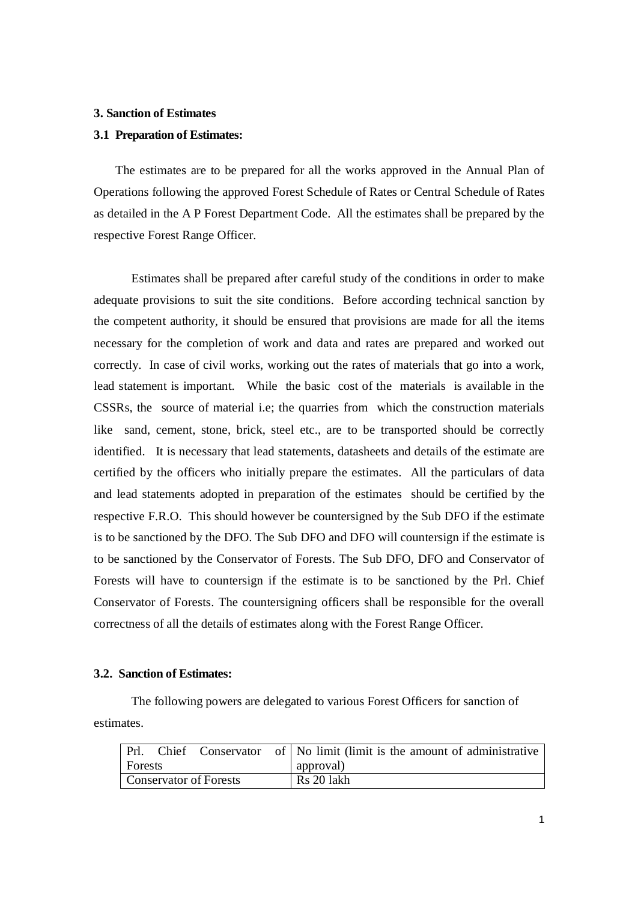## **3. Sanction of Estimates**

## **3.1 Preparation of Estimates:**

The estimates are to be prepared for all the works approved in the Annual Plan of Operations following the approved Forest Schedule of Rates or Central Schedule of Rates as detailed in the A P Forest Department Code. All the estimates shall be prepared by the respective Forest Range Officer.

Estimates shall be prepared after careful study of the conditions in order to make adequate provisions to suit the site conditions. Before according technical sanction by the competent authority, it should be ensured that provisions are made for all the items necessary for the completion of work and data and rates are prepared and worked out correctly. In case of civil works, working out the rates of materials that go into a work, lead statement is important. While the basic cost of the materials is available in the CSSRs, the source of material i.e; the quarries from which the construction materials like sand, cement, stone, brick, steel etc., are to be transported should be correctly identified. It is necessary that lead statements, datasheets and details of the estimate are certified by the officers who initially prepare the estimates. All the particulars of data and lead statements adopted in preparation of the estimates should be certified by the respective F.R.O. This should however be countersigned by the Sub DFO if the estimate is to be sanctioned by the DFO. The Sub DFO and DFO will countersign if the estimate is to be sanctioned by the Conservator of Forests. The Sub DFO, DFO and Conservator of Forests will have to countersign if the estimate is to be sanctioned by the Prl. Chief Conservator of Forests. The countersigning officers shall be responsible for the overall correctness of all the details of estimates along with the Forest Range Officer.

## **3.2. Sanction of Estimates:**

The following powers are delegated to various Forest Officers for sanction of estimates.

| Prl.                          |  |  |  | Chief Conservator of $\vert$ No limit (limit is the amount of administrative |
|-------------------------------|--|--|--|------------------------------------------------------------------------------|
| <b>Forests</b>                |  |  |  | approval)                                                                    |
| <b>Conservator of Forests</b> |  |  |  | Rs 20 lakh                                                                   |